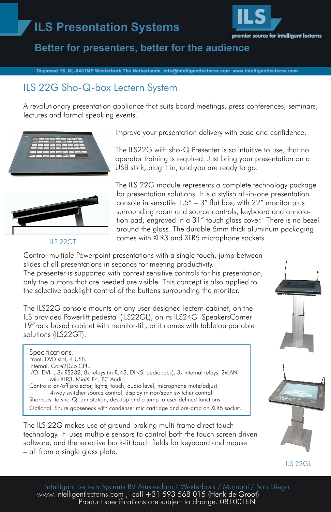# **ILS Presentation Systems**



# **Better for presenters, better for the audience**

Diepmaat 16, NL-9431MP Westerbork The Netherlands, info@intelligentlecterns.com www.intelligentlecterns.com

# ILS 22G Sho-Q-box Lectern System

A revolutionary presentation appliance that suits board meetings, press conferences, seminars, lectures and formal speaking events.





#### ILS 22GT

Improve your presentation delivery with ease and confidence.

The ILS22G with sho-Q Presenter is so intuitive to use, that no operator training is required. Just bring your presentation on a USB stick, plug it in, and you are ready to go.

The ILS 22G module represents a complete technology package for presentation solutions. It is a stylish all-in-one presentation console in versatile 1.5" – 3" flat box, with 22" monitor plus surrounding room and source controls, keyboard and annotation pad, engraved in a 31" touch glass cover. There is no bezel around the glass. The durable 5mm thick aluminum packaging comes with XLR3 and XLR5 microphone sockets.

Control multiple Powerpoint presentations with a single touch, jump between slides of all presentations in seconds for meeting productivity. The presenter is supported with context sensitive controls for his presentation, only the buttons that are needed are visible. This concept is also applied to the selective backlight control of the buttons surrounding the monitor.

The ILS22G console mounts on any user-designed lectern cabinet, on the ILS provided Powerlift pedestal (ILS22GL), on its ILS24G SpeakersCorner 19"rack based cabinet with monitor-tilt, or it comes with tabletop portable solutions (ILS22GT).

Specifications: Front: DVD slot, 4 USB. Internal: Core2Duo CPU. I/O: DVI-I, 3x RS232, 8x relays (in RJ45, DIN5, audio jack), 3x internal relays, 2xLAN, MiniXLR3, MiniXLR4, PC Audio. Controls: on/off projector, lights, touch, audio level, microphone mute/adjust, 4-way switcher source control, display mirror/span switcher control. Shortcuts: to sho-Q, annotation, desktop and a jump to user-defined functions. Optional: Shure gooseneck with condenser mic cartridge and pre-amp on XLR5 socket.

The ILS 22G makes use of ground-braking multi-frame direct touch technology. It uses multiple sensors to control both the touch screen driven software, and the selective back-lit touch fields for keyboard and mouse – all from a single glass plate.



ILS 22GL